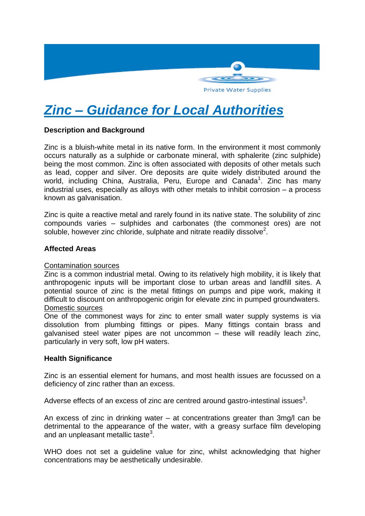

# *Zinc – Guidance for Local Authorities*

# **Description and Background**

Zinc is a bluish-white metal in its native form. In the environment it most commonly occurs naturally as a sulphide or carbonate mineral, with sphalerite (zinc sulphide) being the most common. Zinc is often associated with deposits of other metals such as lead, copper and silver. Ore deposits are quite widely distributed around the world, including China, Australia, Peru, Europe and Canada<sup>1</sup>. Zinc has many industrial uses, especially as alloys with other metals to inhibit corrosion – a process known as galvanisation.

Zinc is quite a reactive metal and rarely found in its native state. The solubility of zinc compounds varies – sulphides and carbonates (the commonest ores) are not soluble, however zinc chloride, sulphate and nitrate readily dissolve<sup>2</sup>.

# **Affected Areas**

## Contamination sources

Zinc is a common industrial metal. Owing to its relatively high mobility, it is likely that anthropogenic inputs will be important close to urban areas and landfill sites. A potential source of zinc is the metal fittings on pumps and pipe work, making it difficult to discount on anthropogenic origin for elevate zinc in pumped groundwaters. Domestic sources

One of the commonest ways for zinc to enter small water supply systems is via dissolution from plumbing fittings or pipes. Many fittings contain brass and galvanised steel water pipes are not uncommon – these will readily leach zinc, particularly in very soft, low pH waters.

## **Health Significance**

Zinc is an essential element for humans, and most health issues are focussed on a deficiency of zinc rather than an excess.

Adverse effects of an excess of zinc are centred around gastro-intestinal issues<sup>3</sup>.

An excess of zinc in drinking water – at concentrations greater than 3mg/l can be detrimental to the appearance of the water, with a greasy surface film developing and an unpleasant metallic taste $3$ .

WHO does not set a guideline value for zinc, whilst acknowledging that higher concentrations may be aesthetically undesirable.